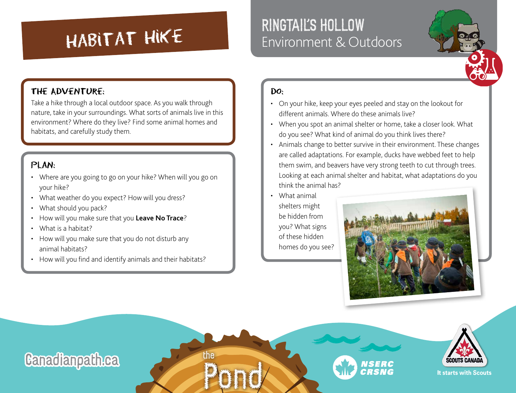# RINGTAIL'S HOLLOW<br>
Environment & Outdoors

### THE ADVENTURE:

Take a hike through a local outdoor space. As you walk through nature, take in your surroundings. What sorts of animals live in this environment? Where do they live? Find some animal homes and habitats, and carefully study them.

### $PIAN:$

- Where are you going to go on your hike? When will you go on your hike?
- What weather do you expect? How will you dress?
- What should you pack?
- How will you make sure that you **[Leave No Trace](https://www.leavenotrace.ca/home)**?
- What is a habitat?
- How will you make sure that you do not disturb any animal habitats?
- How will you find and identify animals and their habitats?

#### $Do:$

- On your hike, keep your eyes peeled and stay on the lookout for different animals. Where do these animals live?
- When you spot an animal shelter or home, take a closer look. What do you see? What kind of animal do you think lives there?
- Animals change to better survive in their environment. These changes are called adaptations. For example, ducks have webbed feet to help them swim, and beavers have very strong teeth to cut through trees. Looking at each animal shelter and habitat, what adaptations do you think the animal has?
- What animal shelters might be hidden from you? What signs of these hidden homes do you see?